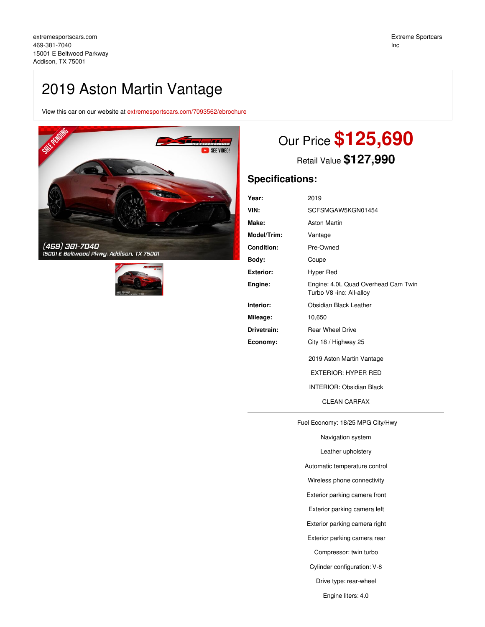## 2019 Aston Martin Vantage

View this car on our website at [extremesportscars.com/7093562/ebrochure](https://extremesportscars.com/vehicle/7093562/2019-aston-martin-vantage-addison-tx-75001/7093562/ebrochure)





# Our Price **\$125,690**

Retail Value **\$127,990**

## **Specifications:**

| 2019                                                            |
|-----------------------------------------------------------------|
| SCFSMGAW5KGN01454                                               |
| <b>Aston Martin</b>                                             |
| Vantage                                                         |
| Pre-Owned                                                       |
| Coupe                                                           |
| Hyper Red                                                       |
| Engine: 4.0L Quad Overhead Cam Twin<br>Turbo V8 -inc: All-alloy |
| Obsidian Black Leather                                          |
| 10,650                                                          |
| <b>Rear Wheel Drive</b>                                         |
| City 18 / Highway 25                                            |
| 2019 Aston Martin Vantage                                       |
| <b>EXTERIOR: HYPER RED</b>                                      |
| <b>INTERIOR: Obsidian Black</b>                                 |
| <b>CLEAN CARFAX</b>                                             |
|                                                                 |

Fuel Economy: 18/25 MPG City/Hwy

Navigation system Leather upholstery

Automatic temperature control

Wireless phone connectivity

Exterior parking camera front

Exterior parking camera left

Exterior parking camera right

Exterior parking camera rear

Compressor: twin turbo

Cylinder configuration: V-8

Drive type: rear-wheel

Engine liters: 4.0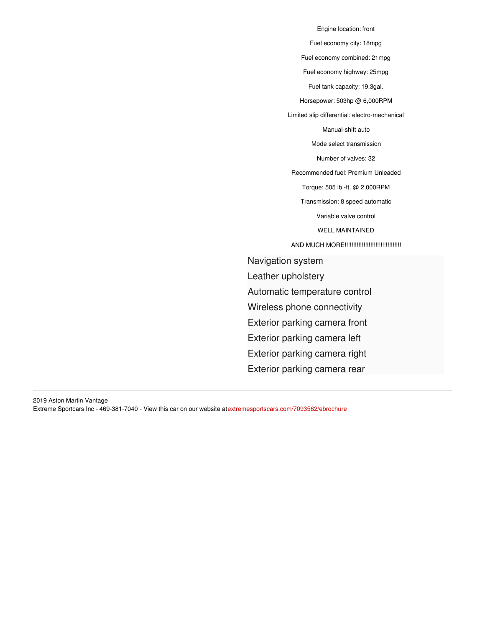Engine location: front Fuel economy city: 18mpg Fuel economy combined: 21mpg Fuel economy highway: 25mpg Fuel tank capacity: 19.3gal. Horsepower: 503hp @ 6,000RPM Limited slip differential: electro-mechanical Manual-shift auto Mode select transmission Number of valves: 32 Recommended fuel: Premium Unleaded Torque: 505 lb.-ft. @ 2,000RPM Transmission: 8 speed automatic Variable valve control WELL MAINTAINED AND MUCH MORE!!!!!!!!!!!!!!!!!!!!!!!!!!!!!!!!! Navigation system Leather upholstery Automatic temperature control Wireless phone connectivity Exterior parking camera front Exterior parking camera left Exterior parking camera right

Exterior parking camera rear

2019 Aston Martin Vantage Extreme Sportcars Inc - 469-381-7040 - View this car on our website at[extremesportscars.com/7093562/ebrochure](https://extremesportscars.com/vehicle/7093562/2019-aston-martin-vantage-addison-tx-75001/7093562/ebrochure)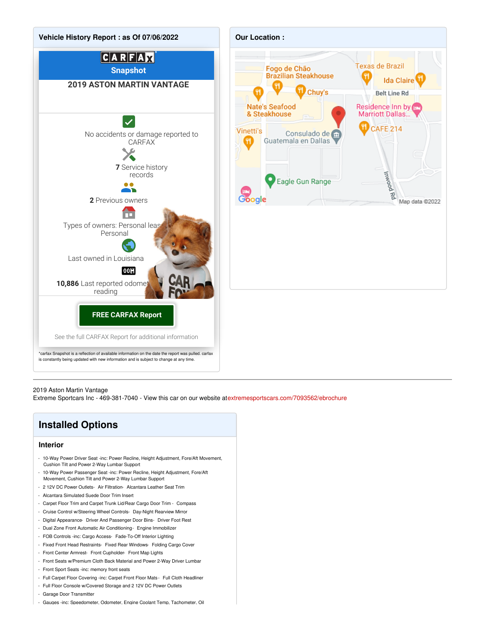

## 2019 Aston Martin Vantage

Extreme Sportcars Inc - 469-381-7040 - View this car on our website at[extremesportscars.com/7093562/ebrochure](https://extremesportscars.com/vehicle/7093562/2019-aston-martin-vantage-addison-tx-75001/7093562/ebrochure)

## **Installed Options**

## **Interior**

- 10-Way Power Driver Seat -inc: Power Recline, Height Adjustment, Fore/Aft Movement, Cushion Tilt and Power 2-Way Lumbar Support
- 10-Way Power Passenger Seat -inc: Power Recline, Height Adjustment, Fore/Aft Movement, Cushion Tilt and Power 2-Way Lumbar Support
- 2 12V DC Power Outlets- Air Filtration- Alcantara Leather Seat Trim
- Alcantara Simulated Suede Door Trim Insert
- Carpet Floor Trim and Carpet Trunk Lid/Rear Cargo Door Trim Compass
- Cruise Control w/Steering Wheel Controls- Day-Night Rearview Mirror
- Digital Appearance- Driver And Passenger Door Bins- Driver Foot Rest
- Dual Zone Front Automatic Air Conditioning- Engine Immobilizer
- FOB Controls -inc: Cargo Access- Fade-To-Off Interior Lighting
- Fixed Front Head Restraints- Fixed Rear Windows- Folding Cargo Cover
- Front Center Armrest- Front Cupholder- Front Map Lights
- Front Seats w/Premium Cloth Back Material and Power 2-Way Driver Lumbar
- Front Sport Seats -inc: memory front seats
- Full Carpet Floor Covering -inc: Carpet Front Floor Mats Full Cloth Headliner
- Full Floor Console w/Covered Storage and 2 12V DC Power Outlets
- Garage Door Transmitter
- Gauges -inc: Speedometer, Odometer, Engine Coolant Temp, Tachometer, Oil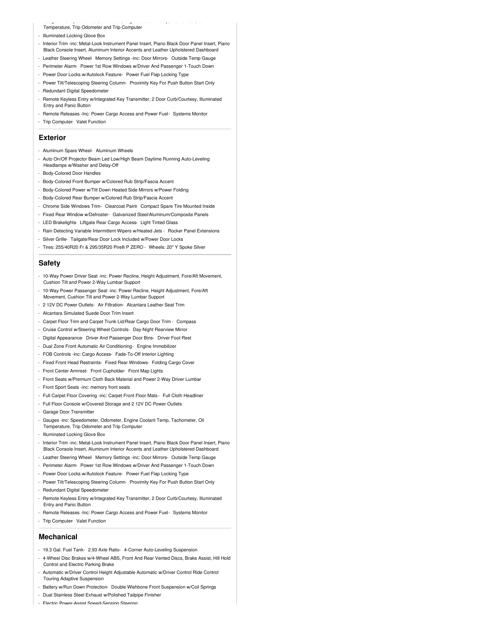- Gauges -inc: Speedometer, Odometer, Engine Coolant Temp, Tachometer, Oil Temperature, Trip Odometer and Trip Computer

- Illuminated Locking Glove Box
- Interior Trim -inc: Metal-Look Instrument Panel Insert, Piano Black Door Panel Insert, Piano Black Console Insert, Aluminum Interior Accents and Leather Upholstered Dashboard
- Leather Steering Wheel- Memory Settings -inc: Door Mirrors- Outside Temp Gauge
- Perimeter Alarm- Power 1st Row Windows w/Driver And Passenger 1-Touch Down
- Power Door Locks w/Autolock Feature- Power Fuel Flap Locking Type
- Power Tilt/Telescoping Steering Column- Proximity Key For Push Button Start Only
- Redundant Digital Speedometer
- Remote Keyless Entry w/Integrated Key Transmitter, 2 Door Curb/Courtesy, Illuminated Entry and Panic Button
- Remote Releases -Inc: Power Cargo Access and Power Fuel- Systems Monitor
- Trip Computer- Valet Function

#### **Exterior**

- Aluminum Spare Wheel- Aluminum Wheels
- Auto On/Off Projector Beam Led Low/High Beam Daytime Running Auto-Leveling Headlamps w/Washer and Delay-Off
- Body-Colored Door Handles
- Body-Colored Front Bumper w/Colored Rub Strip/Fascia Accent
- Body-Colored Power w/Tilt Down Heated Side Mirrors w/Power Folding
- Body-Colored Rear Bumper w/Colored Rub Strip/Fascia Accent
- Chrome Side Windows Trim- Clearcoat Paint- Compact Spare Tire Mounted Inside
- Fixed Rear Window w/Defroster- Galvanized Steel/Aluminum/Composite Panels
- LED Brakelights- Liftgate Rear Cargo Access- Light Tinted Glass
- Rain Detecting Variable Intermittent Wipers w/Heated Jets Rocker Panel Extensions
- Silver Grille- Tailgate/Rear Door Lock Included w/Power Door Locks
- Tires: 255/40R20 Fr & 295/35R20 Pirelli P ZERO Wheels: 20" Y Spoke Silver

## **Safety**

- 10-Way Power Driver Seat -inc: Power Recline, Height Adjustment, Fore/Aft Movement, Cushion Tilt and Power 2-Way Lumbar Support
- 10-Way Power Passenger Seat -inc: Power Recline, Height Adjustment, Fore/Aft Movement, Cushion Tilt and Power 2-Way Lumbar Support
- 2 12V DC Power Outlets- Air Filtration- Alcantara Leather Seat Trim
- Alcantara Simulated Suede Door Trim Insert
- Carpet Floor Trim and Carpet Trunk Lid/Rear Cargo Door Trim Compass
- Cruise Control w/Steering Wheel Controls- Day-Night Rearview Mirror
- Digital Appearance- Driver And Passenger Door Bins- Driver Foot Rest
- Dual Zone Front Automatic Air Conditioning- Engine Immobilizer
- FOB Controls -inc: Cargo Access- Fade-To-Off Interior Lighting
- Fixed Front Head Restraints- Fixed Rear Windows- Folding Cargo Cover
- Front Center Armrest- Front Cupholder- Front Map Lights
- Front Seats w/Premium Cloth Back Material and Power 2-Way Driver Lumbar
- Front Sport Seats -inc: memory front seats
- Full Carpet Floor Covering -inc: Carpet Front Floor Mats Full Cloth Headliner
- Full Floor Console w/Covered Storage and 2 12V DC Power Outlets
- Garage Door Transmitter
- Gauges -inc: Speedometer, Odometer, Engine Coolant Temp, Tachometer, Oil Temperature, Trip Odometer and Trip Computer
- Illuminated Locking Glove Box
- Interior Trim -inc: Metal-Look Instrument Panel Insert, Piano Black Door Panel Insert, Piano Black Console Insert, Aluminum Interior Accents and Leather Upholstered Dashboard
- Leather Steering Wheel- Memory Settings -inc: Door Mirrors- Outside Temp Gauge
- Perimeter Alarm- Power 1st Row Windows w/Driver And Passenger 1-Touch Down
- Power Door Locks w/Autolock Feature- Power Fuel Flap Locking Type
- Power Tilt/Telescoping Steering Column- Proximity Key For Push Button Start Only
- Redundant Digital Speedometer
- Remote Keyless Entry w/Integrated Key Transmitter, 2 Door Curb/Courtesy, Illuminated Entry and Panic Button
- Remote Releases -Inc: Power Cargo Access and Power Fuel- Systems Monitor - Trip Computer- Valet Function

#### **Mechanical**

- 19.3 Gal. Fuel Tank- 2.93 Axle Ratio- 4-Corner Auto-Leveling Suspension
- 4-Wheel Disc Brakes w/4-Wheel ABS, Front And Rear Vented Discs, Brake Assist, Hill Hold Control and Electric Parking Brake
- Automatic w/Driver Control Height Adjustable Automatic w/Driver Control Ride Control Touring Adaptive Suspension
- Battery w/Run Down Protection- Double Wishbone Front Suspension w/Coil Springs
- Dual Stainless Steel Exhaust w/Polished Tailpipe Finisher
- Electric Power-Assist Speed-Sensing Steering